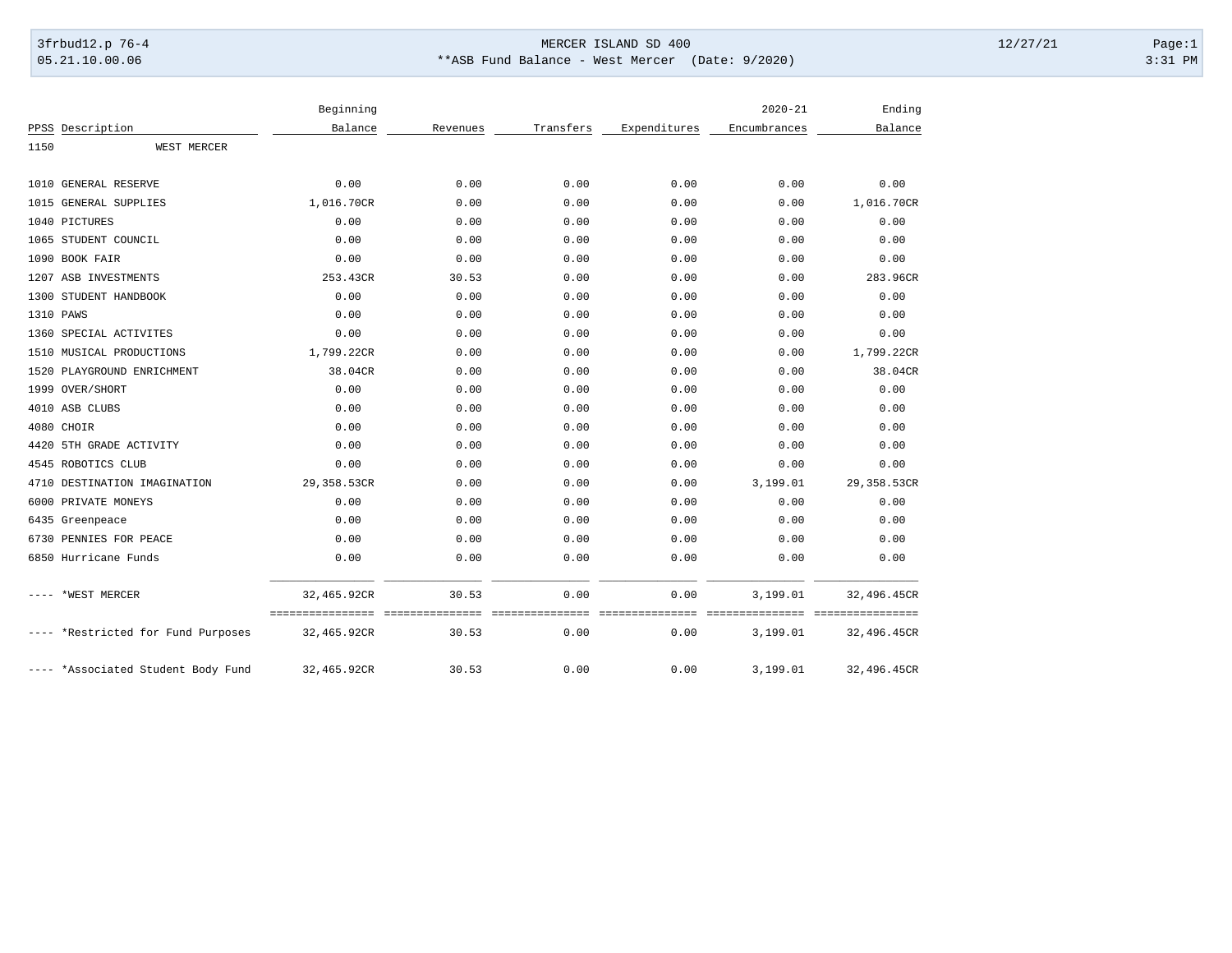## 3frbud12.p 76-4 Page:1 05.21.10.00.06 \*\*\*ASB Fund Balance - West Mercer (Date: 9/2020) 3:31 PM

|      |                                    | Beginning   |          |           |              | $2020 - 21$  | Ending                    |
|------|------------------------------------|-------------|----------|-----------|--------------|--------------|---------------------------|
|      | PPSS Description                   | Balance     | Revenues | Transfers | Expenditures | Encumbrances | Balance                   |
| 1150 | WEST MERCER                        |             |          |           |              |              |                           |
|      |                                    |             |          |           |              |              |                           |
| 1010 | GENERAL RESERVE                    | 0.00        | 0.00     | 0.00      | 0.00         | 0.00         | 0.00                      |
|      | 1015 GENERAL SUPPLIES              | 1,016.70CR  | 0.00     | 0.00      | 0.00         | 0.00         | 1,016.70CR                |
|      | 1040 PICTURES                      | 0.00        | 0.00     | 0.00      | 0.00         | 0.00         | 0.00                      |
|      | 1065 STUDENT COUNCIL               | 0.00        | 0.00     | 0.00      | 0.00         | 0.00         | 0.00                      |
|      | 1090 BOOK FAIR                     | 0.00        | 0.00     | 0.00      | 0.00         | 0.00         | 0.00                      |
|      | 1207 ASB INVESTMENTS               | 253.43CR    | 30.53    | 0.00      | 0.00         | 0.00         | 283.96CR                  |
|      | 1300 STUDENT HANDBOOK              | 0.00        | 0.00     | 0.00      | 0.00         | 0.00         | 0.00                      |
|      | 1310 PAWS                          | 0.00        | 0.00     | 0.00      | 0.00         | 0.00         | 0.00                      |
|      | 1360 SPECIAL ACTIVITES             | 0.00        | 0.00     | 0.00      | 0.00         | 0.00         | 0.00                      |
|      | 1510 MUSICAL PRODUCTIONS           | 1,799.22CR  | 0.00     | 0.00      | 0.00         | 0.00         | 1,799.22CR                |
|      | 1520 PLAYGROUND ENRICHMENT         | 38.04CR     | 0.00     | 0.00      | 0.00         | 0.00         | 38.04CR                   |
|      | 1999 OVER/SHORT                    | 0.00        | 0.00     | 0.00      | 0.00         | 0.00         | 0.00                      |
|      | 4010 ASB CLUBS                     | 0.00        | 0.00     | 0.00      | 0.00         | 0.00         | 0.00                      |
|      | 4080 CHOIR                         | 0.00        | 0.00     | 0.00      | 0.00         | 0.00         | 0.00                      |
| 4420 | 5TH GRADE ACTIVITY                 | 0.00        | 0.00     | 0.00      | 0.00         | 0.00         | 0.00                      |
|      | 4545 ROBOTICS CLUB                 | 0.00        | 0.00     | 0.00      | 0.00         | 0.00         | 0.00                      |
|      | 4710 DESTINATION IMAGINATION       | 29,358.53CR | 0.00     | 0.00      | 0.00         | 3,199.01     | 29,358.53CR               |
| 6000 | PRIVATE MONEYS                     | 0.00        | 0.00     | 0.00      | 0.00         | 0.00         | 0.00                      |
|      | 6435 Greenpeace                    | 0.00        | 0.00     | 0.00      | 0.00         | 0.00         | 0.00                      |
|      | 6730 PENNIES FOR PEACE             | 0.00        | 0.00     | 0.00      | 0.00         | 0.00         | 0.00                      |
|      | 6850 Hurricane Funds               | 0.00        | 0.00     | 0.00      | 0.00         | 0.00         | 0.00                      |
|      | *WEST MERCER                       | 32,465.92CR | 30.53    | 0.00      | 0.00         | 3,199.01     | 32,496.45CR               |
|      |                                    | =========== | $= 22.5$ |           | $=$ $=$ $=$  | ------       | ========================= |
|      | *Restricted for Fund Purposes      | 32,465.92CR | 30.53    | 0.00      | 0.00         | 3,199.01     | 32,496.45CR               |
|      | ---- *Associated Student Body Fund | 32,465.92CR | 30.53    | 0.00      | 0.00         | 3,199.01     | 32,496.45CR               |